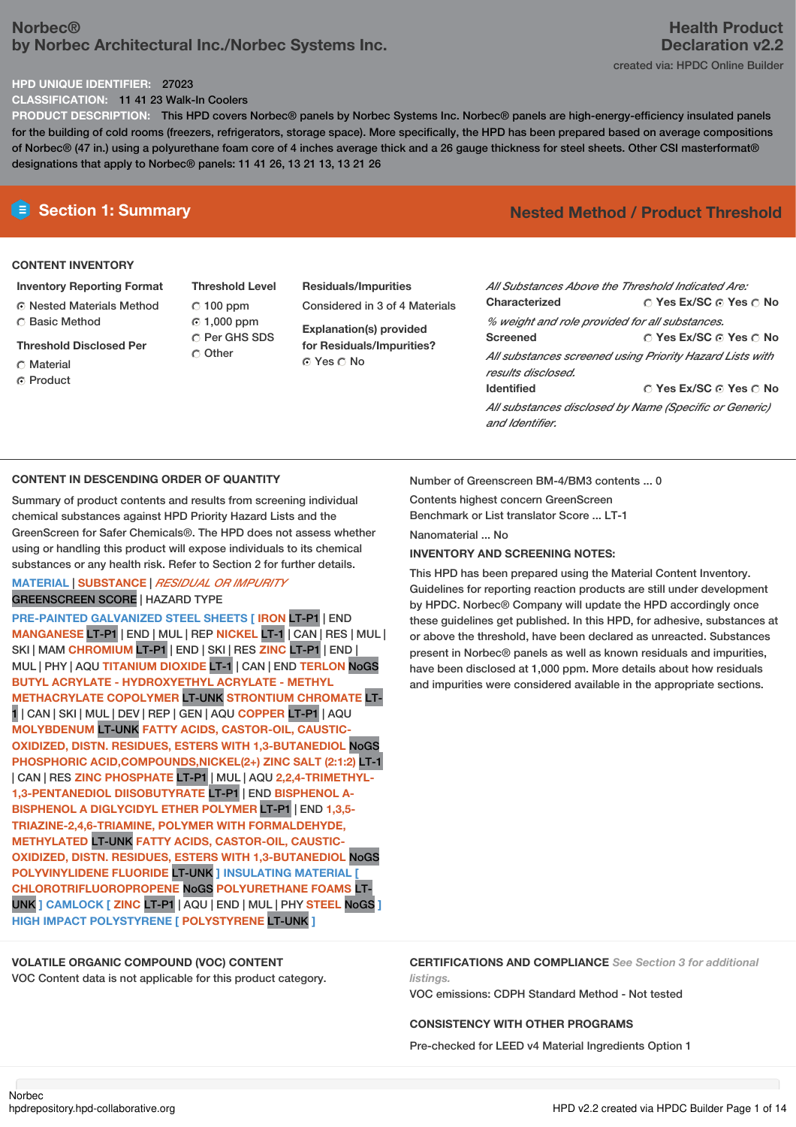## **Norbec® by Norbec Architectural Inc./Norbec Systems Inc.**

### **HPD UNIQUE IDENTIFIER:** 27023

**CLASSIFICATION:** 11 41 23 Walk-In Coolers

**PRODUCT DESCRIPTION:** This HPD covers Norbec® panels by Norbec Systems Inc. Norbec® panels are high-energy-efficiency insulated panels for the building of cold rooms (freezers, refrigerators, storage space). More specifically, the HPD has been prepared based on average compositions of Norbec® (47 in.) using a polyurethane foam core of 4 inches average thick and a 26 gauge thickness for steel sheets. Other CSI masterformat® designations that apply to Norbec® panels: 11 41 26, 13 21 13, 13 21 26

## **CONTENT INVENTORY**

- **Inventory Reporting Format** Nested Materials Method Basic Method
- **Threshold Disclosed Per**
- C Material
- C Product

**Threshold Level** 100 ppm 1,000 ppm C Per GHS SDS C Other

**Residuals/Impurities** Considered in 3 of 4 Materials **Explanation(s) provided**

**for Residuals/Impurities?** © Yes ∩ No

## **E** Section 1: Summary **Nested** Method **/** Product Threshold

| All Substances Above the Threshold Indicated Are: |                                                          |
|---------------------------------------------------|----------------------------------------------------------|
| Characterized                                     | ∩ Yes Ex/SC ∩ Yes ∩ No                                   |
| % weight and role provided for all substances.    |                                                          |
| <b>Screened</b>                                   | ∩ Yes Ex/SC ∩ Yes ∩ No                                   |
| results disclosed.                                | All substances screened using Priority Hazard Lists with |
| <b>Identified</b>                                 | ∩ Yes Ex/SC ∩ Yes ∩ No                                   |
| and Identifier.                                   | All substances disclosed by Name (Specific or Generic)   |

## **CONTENT IN DESCENDING ORDER OF QUANTITY**

Summary of product contents and results from screening individual chemical substances against HPD Priority Hazard Lists and the GreenScreen for Safer Chemicals®. The HPD does not assess whether using or handling this product will expose individuals to its chemical substances or any health risk. Refer to Section 2 for further details.

## **MATERIAL** | **SUBSTANCE** | *RESIDUAL OR IMPURITY* GREENSCREEN SCORE | HAZARD TYPE

**PRE-PAINTED GALVANIZED STEEL SHEETS [ IRON** LT-P1 | END **MANGANESE** LT-P1 | END | MUL | REP **NICKEL** LT-1 | CAN | RES | MUL | SKI | MAM **CHROMIUM** LT-P1 | END | SKI | RES **ZINC** LT-P1 | END | MUL | PHY | AQU **TITANIUM DIOXIDE** LT-1 | CAN | END **TERLON** NoGS **BUTYL ACRYLATE - HYDROXYETHYL ACRYLATE - METHYL METHACRYLATE COPOLYMER** LT-UNK **STRONTIUM CHROMATE** LT-1 | CAN | SKI | MUL | DEV | REP | GEN | AQU **COPPER** LT-P1 | AQU **MOLYBDENUM** LT-UNK **FATTY ACIDS, CASTOR-OIL, CAUSTIC-OXIDIZED, DISTN. RESIDUES, ESTERS WITH 1,3-BUTANEDIOL** NoGS **PHOSPHORIC ACID,COMPOUNDS,NICKEL(2+) ZINC SALT (2:1:2)** LT-1 | CAN | RES **ZINC PHOSPHATE** LT-P1 | MUL | AQU **2,2,4-TRIMETHYL-1,3-PENTANEDIOL DIISOBUTYRATE** LT-P1 | END **BISPHENOL A-BISPHENOL A DIGLYCIDYL ETHER POLYMER** LT-P1 | END **1,3,5- TRIAZINE-2,4,6-TRIAMINE, POLYMER WITH FORMALDEHYDE, METHYLATED** LT-UNK **FATTY ACIDS, CASTOR-OIL, CAUSTIC-OXIDIZED, DISTN. RESIDUES, ESTERS WITH 1,3-BUTANEDIOL** NoGS **POLYVINYLIDENE FLUORIDE** LT-UNK **] INSULATING MATERIAL [ CHLOROTRIFLUOROPROPENE** NoGS **POLYURETHANE FOAMS** LT-UNK **] CAMLOCK [ ZINC** LT-P1 | AQU | END | MUL | PHY **STEEL** NoGS **] HIGH IMPACT POLYSTYRENE [ POLYSTYRENE** LT-UNK **]**

Number of Greenscreen BM-4/BM3 contents ... 0

Contents highest concern GreenScreen

Benchmark or List translator Score ... LT-1

Nanomaterial No.

## **INVENTORY AND SCREENING NOTES:**

This HPD has been prepared using the Material Content Inventory. Guidelines for reporting reaction products are still under development by HPDC. Norbec® Company will update the HPD accordingly once these guidelines get published. In this HPD, for adhesive, substances at or above the threshold, have been declared as unreacted. Substances present in Norbec® panels as well as known residuals and impurities, have been disclosed at 1,000 ppm. More details about how residuals and impurities were considered available in the appropriate sections.

## **VOLATILE ORGANIC COMPOUND (VOC) CONTENT**

VOC Content data is not applicable for this product category.

**CERTIFICATIONS AND COMPLIANCE** *See Section 3 for additional listings.*

VOC emissions: CDPH Standard Method - Not tested

### **CONSISTENCY WITH OTHER PROGRAMS**

Pre-checked for LEED v4 Material Ingredients Option 1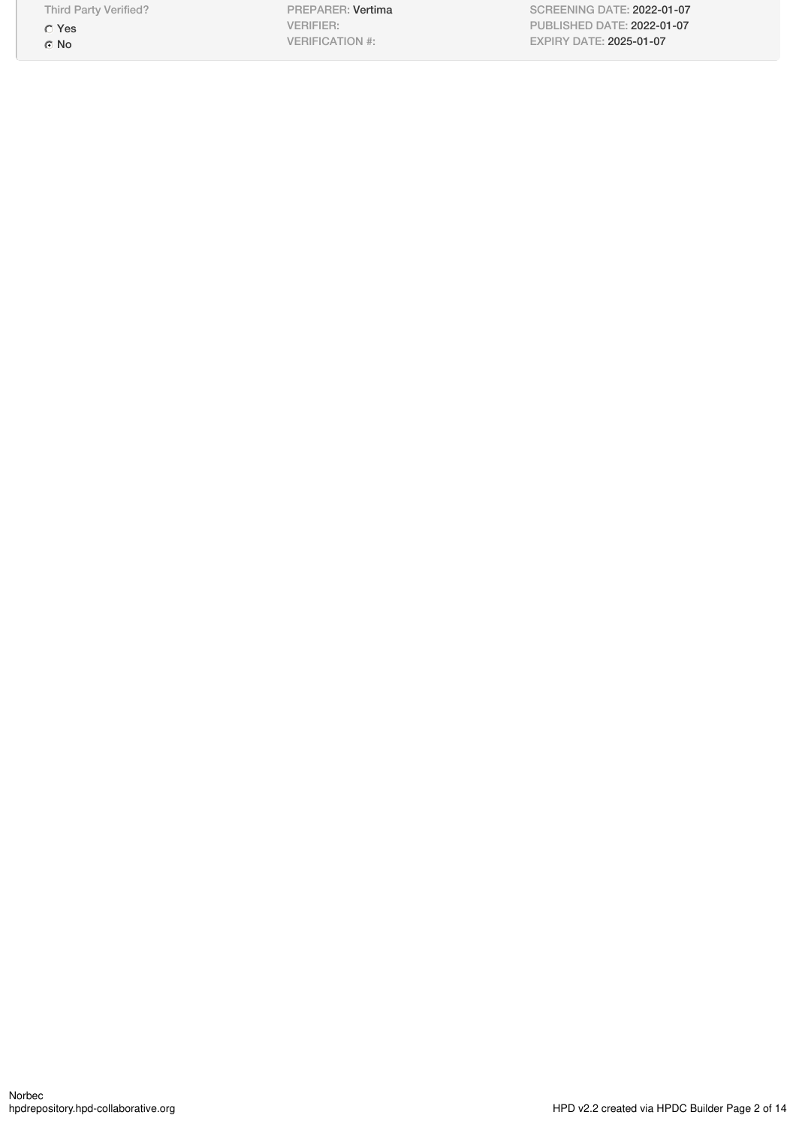Third Party Verified?

Yes © No

PREPARER: Vertima VERIFIER: VERIFICATION #:

SCREENING DATE: 2022-01-07 PUBLISHED DATE: 2022-01-07 EXPIRY DATE: 2025-01-07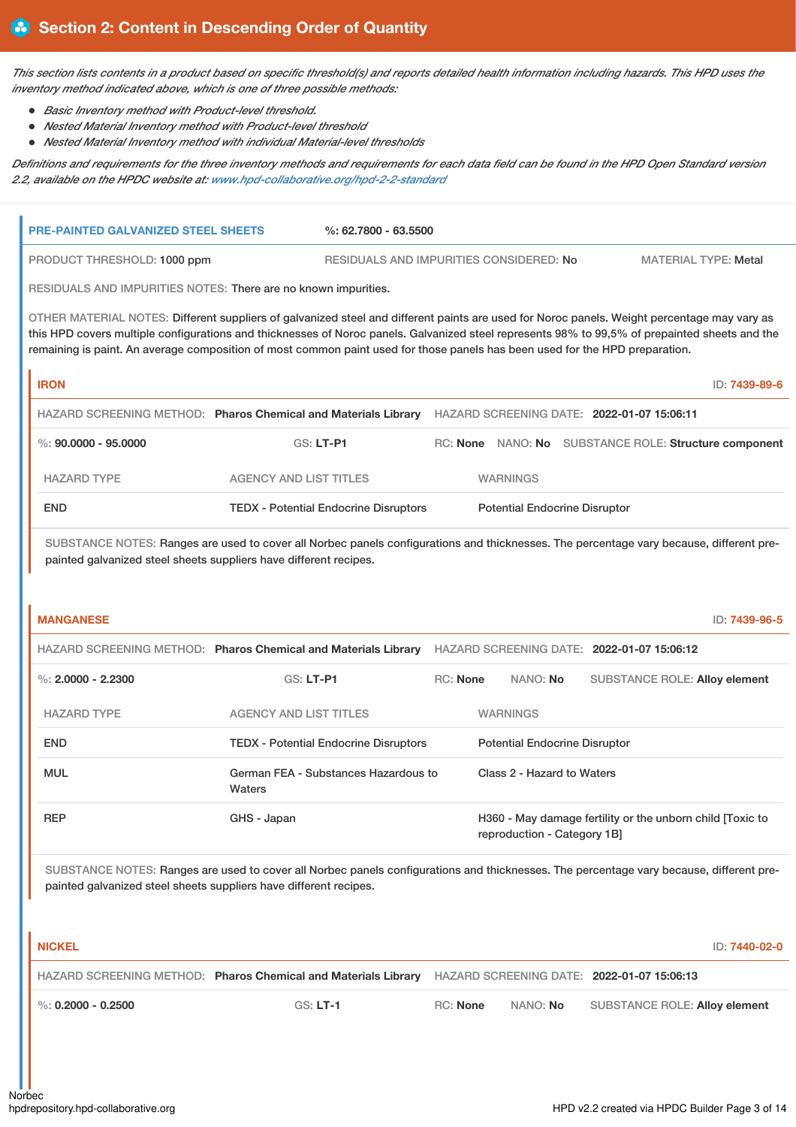This section lists contents in a product based on specific threshold(s) and reports detailed health information including hazards. This HPD uses the *inventory method indicated above, which is one of three possible methods:*

- *Basic Inventory method with Product-level threshold.*
- *Nested Material Inventory method with Product-level threshold*
- *Nested Material Inventory method with individual Material-level thresholds*

Definitions and requirements for the three inventory methods and requirements for each data field can be found in the HPD Open Standard version *2.2, available on the HPDC website at: [www.hpd-collaborative.org/hpd-2-2-standard](https://www.hpd-collaborative.org/hpd-2-2-standard)*

| <b>PRE-PAINTED GALVANIZED STEEL SHEETS</b> | $%: 62,7800 - 63,5500$                                                                                                                                                                                                                                                                                                                                                                                                        |          |                 |                                            |                                                       |
|--------------------------------------------|-------------------------------------------------------------------------------------------------------------------------------------------------------------------------------------------------------------------------------------------------------------------------------------------------------------------------------------------------------------------------------------------------------------------------------|----------|-----------------|--------------------------------------------|-------------------------------------------------------|
| PRODUCT THRESHOLD: 1000 ppm                | RESIDUALS AND IMPURITIES CONSIDERED: No                                                                                                                                                                                                                                                                                                                                                                                       |          |                 |                                            | <b>MATERIAL TYPE: Metal</b>                           |
|                                            | RESIDUALS AND IMPURITIES NOTES: There are no known impurities.                                                                                                                                                                                                                                                                                                                                                                |          |                 |                                            |                                                       |
|                                            | OTHER MATERIAL NOTES: Different suppliers of galvanized steel and different paints are used for Noroc panels. Weight percentage may vary as<br>this HPD covers multiple configurations and thicknesses of Noroc panels. Galvanized steel represents 98% to 99,5% of prepainted sheets and the<br>remaining is paint. An average composition of most common paint used for those panels has been used for the HPD preparation. |          |                 |                                            |                                                       |
| <b>IRON</b>                                |                                                                                                                                                                                                                                                                                                                                                                                                                               |          |                 |                                            | ID: 7439-89-6                                         |
|                                            | HAZARD SCREENING METHOD: Pharos Chemical and Materials Library                                                                                                                                                                                                                                                                                                                                                                |          |                 | HAZARD SCREENING DATE: 2022-01-07 15:06:11 |                                                       |
| $\%$ : 90.0000 - 95.0000                   | <b>GS: LT-P1</b>                                                                                                                                                                                                                                                                                                                                                                                                              |          |                 |                                            | RC: None NANO: No SUBSTANCE ROLE: Structure component |
| <b>HAZARD TYPE</b>                         | <b>AGENCY AND LIST TITLES</b>                                                                                                                                                                                                                                                                                                                                                                                                 |          | <b>WARNINGS</b> |                                            |                                                       |
| <b>END</b>                                 | <b>TEDX - Potential Endocrine Disruptors</b>                                                                                                                                                                                                                                                                                                                                                                                  |          |                 | <b>Potential Endocrine Disruptor</b>       |                                                       |
|                                            | SUBSTANCE NOTES: Ranges are used to cover all Norbec panels configurations and thicknesses. The percentage vary because, different pre-<br>painted galvanized steel sheets suppliers have different recipes.                                                                                                                                                                                                                  |          |                 |                                            |                                                       |
| <b>MANGANESE</b>                           |                                                                                                                                                                                                                                                                                                                                                                                                                               |          |                 |                                            | ID: 7439-96-5                                         |
|                                            | HAZARD SCREENING METHOD: Pharos Chemical and Materials Library                                                                                                                                                                                                                                                                                                                                                                |          |                 | HAZARD SCREENING DATE: 2022-01-07 15:06:12 |                                                       |
| $\%$ : 2.0000 - 2.2300                     | <b>GS: LT-P1</b>                                                                                                                                                                                                                                                                                                                                                                                                              | RC: None | NANO: No        |                                            | <b>SUBSTANCE ROLE: Alloy element</b>                  |
| <b>HAZARD TYPE</b>                         | <b>AGENCY AND LIST TITLES</b>                                                                                                                                                                                                                                                                                                                                                                                                 |          | <b>WARNINGS</b> |                                            |                                                       |
| <b>END</b>                                 | <b>TEDX</b> - Potential Endocrine Disruptors                                                                                                                                                                                                                                                                                                                                                                                  |          |                 | <b>Potential Endocrine Disruptor</b>       |                                                       |

| <b>MUL</b> | German FEA - Substances Hazardous to<br><b>Waters</b> | Class 2 - Hazard to Waters                                                               |
|------------|-------------------------------------------------------|------------------------------------------------------------------------------------------|
| <b>REP</b> | GHS - Japan                                           | H360 - May damage fertility or the unborn child [Toxic to<br>reproduction - Category 1B] |

SUBSTANCE NOTES: Ranges are used to cover all Norbec panels configurations and thicknesses. The percentage vary because, different prepainted galvanized steel sheets suppliers have different recipes.

**NICKEL** ID: **7440-02-0** HAZARD SCREENING METHOD: **Pharos Chemical and Materials Library** HAZARD SCREENING DATE: **2022-01-07 15:06:13** %: **0.2000 - 0.2500** GS: **LT-1** RC: **None** NANO: **No** SUBSTANCE ROLE: **Alloy element**

Norbec<br>hodrepository.hpd-collaborative.org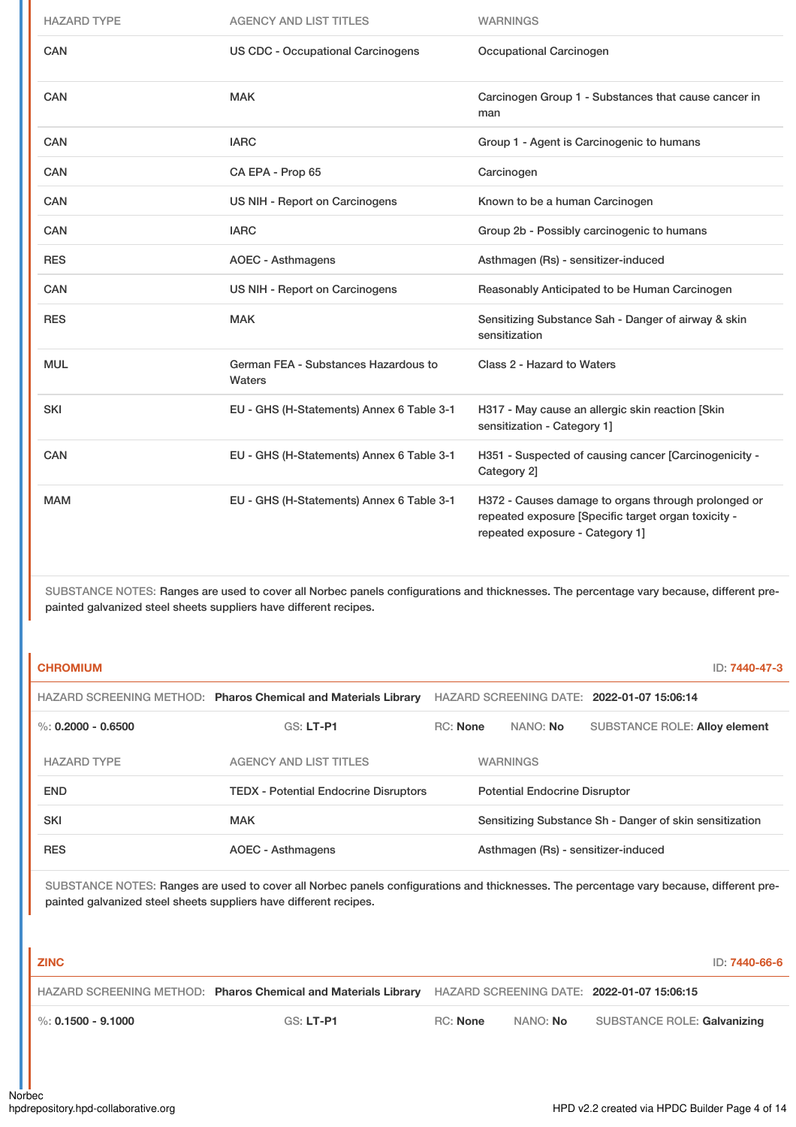| <b>HAZARD TYPE</b> | <b>AGENCY AND LIST TITLES</b>                  | <b>WARNINGS</b>                                                                                                                               |
|--------------------|------------------------------------------------|-----------------------------------------------------------------------------------------------------------------------------------------------|
| CAN                | <b>US CDC - Occupational Carcinogens</b>       | <b>Occupational Carcinogen</b>                                                                                                                |
| <b>CAN</b>         | <b>MAK</b>                                     | Carcinogen Group 1 - Substances that cause cancer in<br>man                                                                                   |
| <b>CAN</b>         | <b>IARC</b>                                    | Group 1 - Agent is Carcinogenic to humans                                                                                                     |
| <b>CAN</b>         | CA EPA - Prop 65                               | Carcinogen                                                                                                                                    |
| <b>CAN</b>         | US NIH - Report on Carcinogens                 | Known to be a human Carcinogen                                                                                                                |
| CAN                | <b>IARC</b>                                    | Group 2b - Possibly carcinogenic to humans                                                                                                    |
| <b>RES</b>         | <b>AOEC - Asthmagens</b>                       | Asthmagen (Rs) - sensitizer-induced                                                                                                           |
| <b>CAN</b>         | US NIH - Report on Carcinogens                 | Reasonably Anticipated to be Human Carcinogen                                                                                                 |
| <b>RES</b>         | <b>MAK</b>                                     | Sensitizing Substance Sah - Danger of airway & skin<br>sensitization                                                                          |
| <b>MUL</b>         | German FEA - Substances Hazardous to<br>Waters | Class 2 - Hazard to Waters                                                                                                                    |
| <b>SKI</b>         | EU - GHS (H-Statements) Annex 6 Table 3-1      | H317 - May cause an allergic skin reaction [Skin<br>sensitization - Category 1]                                                               |
| <b>CAN</b>         | EU - GHS (H-Statements) Annex 6 Table 3-1      | H351 - Suspected of causing cancer [Carcinogenicity -<br>Category 2]                                                                          |
| <b>MAM</b>         | EU - GHS (H-Statements) Annex 6 Table 3-1      | H372 - Causes damage to organs through prolonged or<br>repeated exposure [Specific target organ toxicity -<br>repeated exposure - Category 1] |

| <b>CHROMIUM</b>      |                                                                |          |                                      |                                                         | ID: 7440-47-3 |
|----------------------|----------------------------------------------------------------|----------|--------------------------------------|---------------------------------------------------------|---------------|
|                      | HAZARD SCREENING METHOD: Pharos Chemical and Materials Library |          |                                      | HAZARD SCREENING DATE: 2022-01-07 15:06:14              |               |
| %: $0.2000 - 0.6500$ | $GS: LT-PI$                                                    | RC: None | NANO: No                             | <b>SUBSTANCE ROLE: Alloy element</b>                    |               |
| <b>HAZARD TYPE</b>   | <b>AGENCY AND LIST TITLES</b>                                  |          | <b>WARNINGS</b>                      |                                                         |               |
| <b>END</b>           | <b>TEDX</b> - Potential Endocrine Disruptors                   |          | <b>Potential Endocrine Disruptor</b> |                                                         |               |
| <b>SKI</b>           | <b>MAK</b>                                                     |          |                                      | Sensitizing Substance Sh - Danger of skin sensitization |               |
| <b>RES</b>           | <b>AOEC - Asthmagens</b>                                       |          | Asthmagen (Rs) - sensitizer-induced  |                                                         |               |

| <b>ZINC</b>                       |                                                                                                           |          |          | ID: <b>7440-66-6</b>        |
|-----------------------------------|-----------------------------------------------------------------------------------------------------------|----------|----------|-----------------------------|
|                                   | HAZARD SCREENING METHOD: Pharos Chemical and Materials Library HAZARD SCREENING DATE: 2022-01-07 15:06:15 |          |          |                             |
| $\blacksquare$ %: 0.1500 - 9.1000 | GS: LT-P1                                                                                                 | RC: None | NANO: No | SUBSTANCE ROLE: Galvanizing |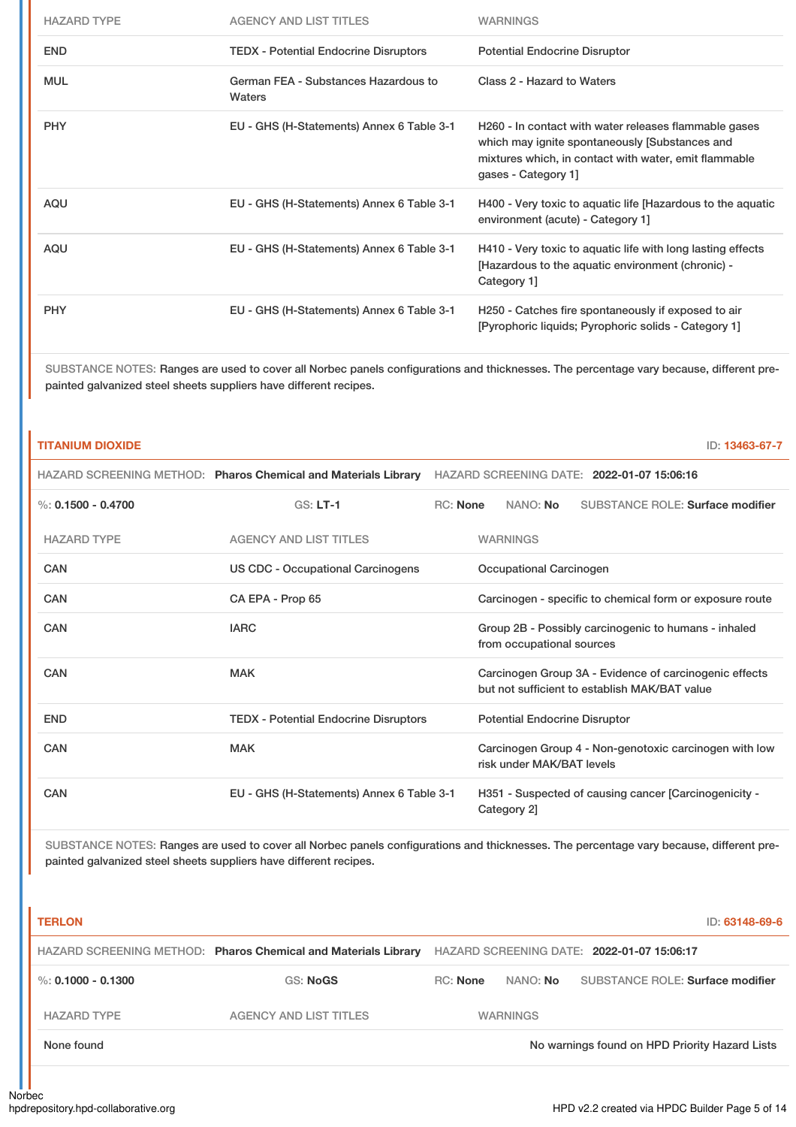| <b>HAZARD TYPE</b> | AGENCY AND LIST TITLES                         | <b>WARNINGS</b>                                                                                                                                                                         |
|--------------------|------------------------------------------------|-----------------------------------------------------------------------------------------------------------------------------------------------------------------------------------------|
| <b>END</b>         | <b>TEDX - Potential Endocrine Disruptors</b>   | <b>Potential Endocrine Disruptor</b>                                                                                                                                                    |
| <b>MUL</b>         | German FEA - Substances Hazardous to<br>Waters | Class 2 - Hazard to Waters                                                                                                                                                              |
| <b>PHY</b>         | EU - GHS (H-Statements) Annex 6 Table 3-1      | H260 - In contact with water releases flammable gases<br>which may ignite spontaneously [Substances and<br>mixtures which, in contact with water, emit flammable<br>gases - Category 1] |
| AQU                | EU - GHS (H-Statements) Annex 6 Table 3-1      | H400 - Very toxic to aquatic life [Hazardous to the aquatic<br>environment (acute) - Category 1]                                                                                        |
| AQU                | EU - GHS (H-Statements) Annex 6 Table 3-1      | H410 - Very toxic to aquatic life with long lasting effects<br>[Hazardous to the aquatic environment (chronic) -<br>Category 1]                                                         |
| <b>PHY</b>         | EU - GHS (H-Statements) Annex 6 Table 3-1      | H250 - Catches fire spontaneously if exposed to air<br>[Pyrophoric liquids; Pyrophoric solids - Category 1]                                                                             |

## **TITANIUM DIOXIDE** ID: **13463-67-7**

|                      | HAZARD SCREENING METHOD: Pharos Chemical and Materials Library | HAZARD SCREENING DATE: 2022-01-07 15:06:16 |                                                                                                         |  |
|----------------------|----------------------------------------------------------------|--------------------------------------------|---------------------------------------------------------------------------------------------------------|--|
| %: $0.1500 - 0.4700$ | $GS: LT-1$                                                     | <b>RC:</b> None                            | <b>SUBSTANCE ROLE: Surface modifier</b><br>NANO: No                                                     |  |
| <b>HAZARD TYPE</b>   | <b>AGENCY AND LIST TITLES</b>                                  |                                            | <b>WARNINGS</b>                                                                                         |  |
| CAN                  | US CDC - Occupational Carcinogens                              |                                            | Occupational Carcinogen                                                                                 |  |
| CAN                  | CA EPA - Prop 65                                               |                                            | Carcinogen - specific to chemical form or exposure route                                                |  |
| CAN                  | <b>IARC</b>                                                    |                                            | Group 2B - Possibly carcinogenic to humans - inhaled<br>from occupational sources                       |  |
| CAN                  | <b>MAK</b>                                                     |                                            | Carcinogen Group 3A - Evidence of carcinogenic effects<br>but not sufficient to establish MAK/BAT value |  |
| <b>END</b>           | <b>TEDX - Potential Endocrine Disruptors</b>                   |                                            | <b>Potential Endocrine Disruptor</b>                                                                    |  |
| CAN                  | <b>MAK</b>                                                     |                                            | Carcinogen Group 4 - Non-genotoxic carcinogen with low<br>risk under MAK/BAT levels                     |  |
| CAN                  | EU - GHS (H-Statements) Annex 6 Table 3-1                      |                                            | H351 - Suspected of causing cancer [Carcinogenicity -<br>Category 2]                                    |  |

| <b>TERLON</b>      |                                                                |          |                 | ID: 63148-69-6                                 |
|--------------------|----------------------------------------------------------------|----------|-----------------|------------------------------------------------|
|                    | HAZARD SCREENING METHOD: Pharos Chemical and Materials Library |          |                 | HAZARD SCREENING DATE: 2022-01-07 15:06:17     |
| %: 0.1000 - 0.1300 | GS: NoGS                                                       | RC: None | NANO: No        | SUBSTANCE ROLE: Surface modifier               |
| <b>HAZARD TYPE</b> | <b>AGENCY AND LIST TITLES</b>                                  |          | <b>WARNINGS</b> |                                                |
| None found         |                                                                |          |                 | No warnings found on HPD Priority Hazard Lists |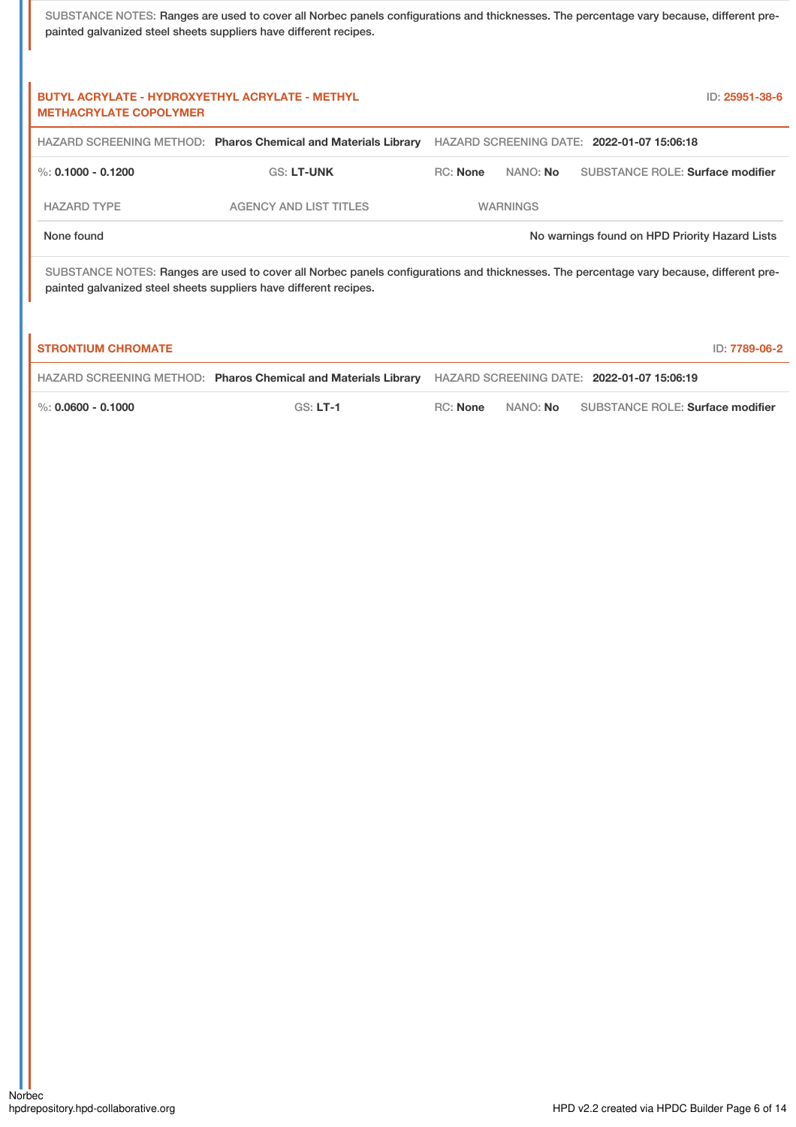| <b>BUTYL ACRYLATE - HYDROXYETHYL ACRYLATE - METHYL</b><br><b>METHACRYLATE COPOLYMER</b> |                                                                                                                                                                                                              |                 |                 | ID: 25951-38-6                                 |  |
|-----------------------------------------------------------------------------------------|--------------------------------------------------------------------------------------------------------------------------------------------------------------------------------------------------------------|-----------------|-----------------|------------------------------------------------|--|
|                                                                                         | HAZARD SCREENING METHOD: Pharos Chemical and Materials Library                                                                                                                                               |                 |                 | HAZARD SCREENING DATE: 2022-01-07 15:06:18     |  |
| %: 0.1000 - 0.1200                                                                      | <b>GS: LT-UNK</b>                                                                                                                                                                                            | <b>RC:</b> None | NANO: <b>No</b> | SUBSTANCE ROLE: Surface modifier               |  |
| <b>HAZARD TYPE</b>                                                                      | <b>AGENCY AND LIST TITLES</b>                                                                                                                                                                                |                 | <b>WARNINGS</b> |                                                |  |
| None found                                                                              |                                                                                                                                                                                                              |                 |                 | No warnings found on HPD Priority Hazard Lists |  |
|                                                                                         | SUBSTANCE NOTES: Ranges are used to cover all Norbec panels configurations and thicknesses. The percentage vary because, different pre-<br>painted galvanized steel sheets suppliers have different recipes. |                 |                 |                                                |  |

| <b>STRONTIUM CHROMATE</b> |                                                                |          |                 | ID: 7789-06-2                              |
|---------------------------|----------------------------------------------------------------|----------|-----------------|--------------------------------------------|
|                           | HAZARD SCREENING METHOD: Pharos Chemical and Materials Library |          |                 | HAZARD SCREENING DATE: 2022-01-07 15:06:19 |
| $\%$ : 0.0600 - 0.1000    | $GS: LT-1$                                                     | RC: None | NANO: <b>No</b> | SUBSTANCE ROLE: Surface modifier           |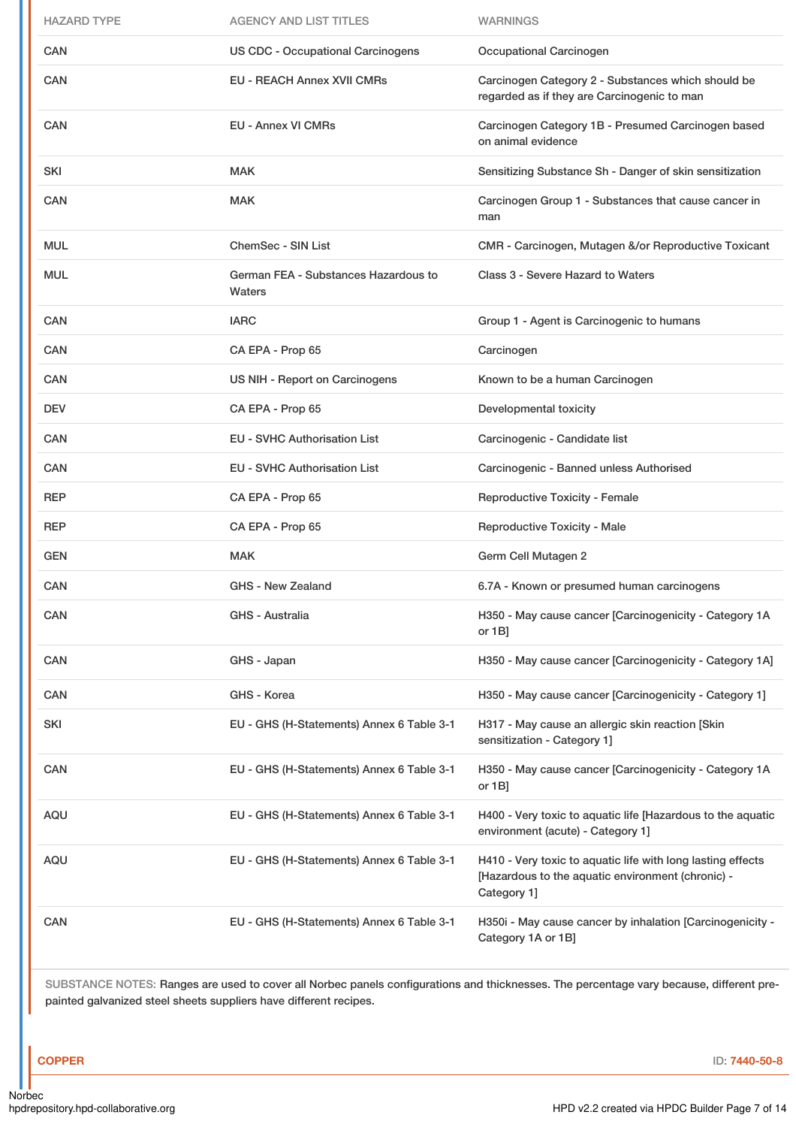| <b>HAZARD TYPE</b> | <b>AGENCY AND LIST TITLES</b>                  | <b>WARNINGS</b>                                                                                                                 |
|--------------------|------------------------------------------------|---------------------------------------------------------------------------------------------------------------------------------|
| <b>CAN</b>         | <b>US CDC - Occupational Carcinogens</b>       | Occupational Carcinogen                                                                                                         |
| <b>CAN</b>         | <b>EU - REACH Annex XVII CMRs</b>              | Carcinogen Category 2 - Substances which should be<br>regarded as if they are Carcinogenic to man                               |
| CAN                | <b>EU - Annex VI CMRs</b>                      | Carcinogen Category 1B - Presumed Carcinogen based<br>on animal evidence                                                        |
| SKI                | <b>MAK</b>                                     | Sensitizing Substance Sh - Danger of skin sensitization                                                                         |
| <b>CAN</b>         | <b>MAK</b>                                     | Carcinogen Group 1 - Substances that cause cancer in<br>man                                                                     |
| <b>MUL</b>         | <b>ChemSec - SIN List</b>                      | CMR - Carcinogen, Mutagen &/or Reproductive Toxicant                                                                            |
| <b>MUL</b>         | German FEA - Substances Hazardous to<br>Waters | Class 3 - Severe Hazard to Waters                                                                                               |
| CAN                | <b>IARC</b>                                    | Group 1 - Agent is Carcinogenic to humans                                                                                       |
| <b>CAN</b>         | CA EPA - Prop 65                               | Carcinogen                                                                                                                      |
| <b>CAN</b>         | US NIH - Report on Carcinogens                 | Known to be a human Carcinogen                                                                                                  |
| <b>DEV</b>         | CA EPA - Prop 65                               | Developmental toxicity                                                                                                          |
| <b>CAN</b>         | <b>EU - SVHC Authorisation List</b>            | Carcinogenic - Candidate list                                                                                                   |
| <b>CAN</b>         | <b>EU - SVHC Authorisation List</b>            | Carcinogenic - Banned unless Authorised                                                                                         |
|                    |                                                |                                                                                                                                 |
| <b>REP</b>         | CA EPA - Prop 65                               | <b>Reproductive Toxicity - Female</b>                                                                                           |
| <b>REP</b>         | CA EPA - Prop 65                               | Reproductive Toxicity - Male                                                                                                    |
| <b>GEN</b>         | <b>MAK</b>                                     | Germ Cell Mutagen 2                                                                                                             |
| CAN                | GHS - New Zealand                              | 6.7A - Known or presumed human carcinogens                                                                                      |
| CAN                | GHS - Australia                                | H350 - May cause cancer [Carcinogenicity - Category 1A<br>or $1B$ ]                                                             |
| CAN                | GHS - Japan                                    | H350 - May cause cancer [Carcinogenicity - Category 1A]                                                                         |
| CAN                | GHS - Korea                                    | H350 - May cause cancer [Carcinogenicity - Category 1]                                                                          |
| SKI                | EU - GHS (H-Statements) Annex 6 Table 3-1      | H317 - May cause an allergic skin reaction [Skin<br>sensitization - Category 1]                                                 |
| CAN                | EU - GHS (H-Statements) Annex 6 Table 3-1      | H350 - May cause cancer [Carcinogenicity - Category 1A<br>or $1B$ ]                                                             |
| AQU                | EU - GHS (H-Statements) Annex 6 Table 3-1      | H400 - Very toxic to aquatic life [Hazardous to the aquatic<br>environment (acute) - Category 1]                                |
| AQU                | EU - GHS (H-Statements) Annex 6 Table 3-1      | H410 - Very toxic to aquatic life with long lasting effects<br>[Hazardous to the aquatic environment (chronic) -<br>Category 1] |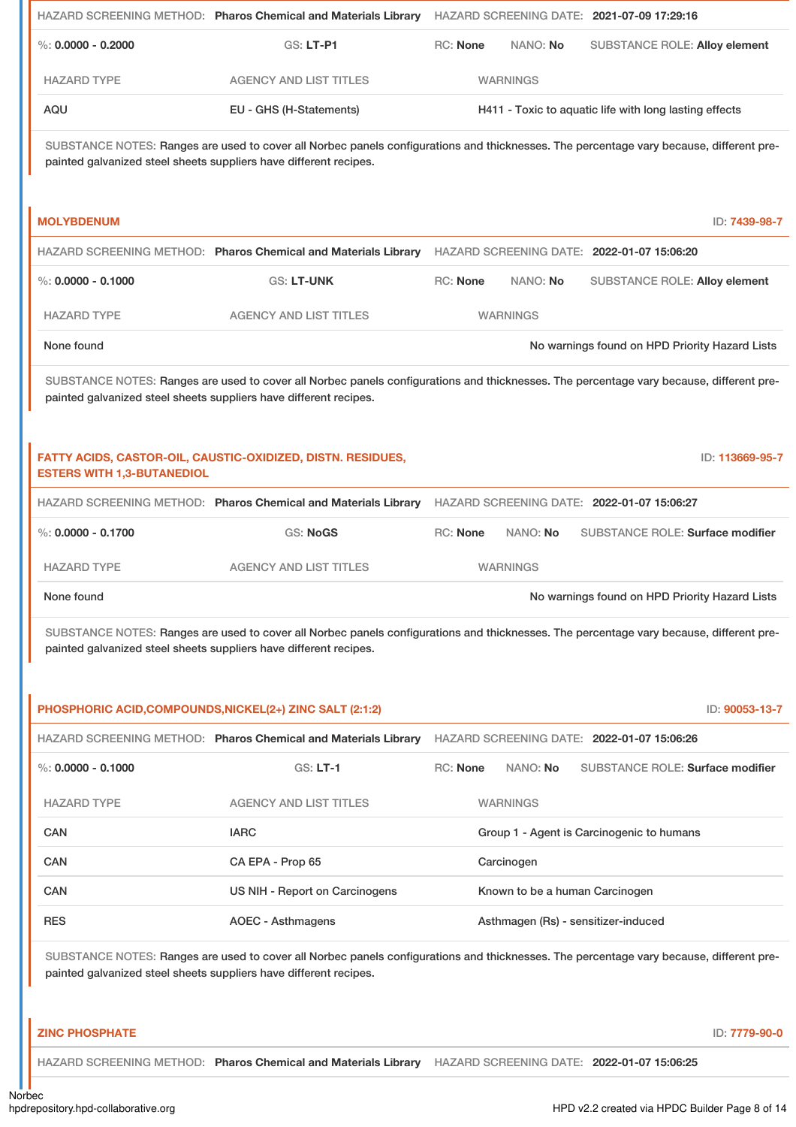|                                                                                                                                                                                                              | HAZARD SCREENING METHOD: Pharos Chemical and Materials Library                                                                                                                                               | HAZARD SCREENING DATE: 2021-07-09 17:29:16 |                                                        |
|--------------------------------------------------------------------------------------------------------------------------------------------------------------------------------------------------------------|--------------------------------------------------------------------------------------------------------------------------------------------------------------------------------------------------------------|--------------------------------------------|--------------------------------------------------------|
| %: $0.0000 - 0.2000$                                                                                                                                                                                         | GS: LT-P1                                                                                                                                                                                                    | <b>RC: None</b><br>NANO: No                | <b>SUBSTANCE ROLE: Alloy element</b>                   |
| <b>HAZARD TYPE</b>                                                                                                                                                                                           | <b>AGENCY AND LIST TITLES</b>                                                                                                                                                                                | <b>WARNINGS</b>                            |                                                        |
| AQU                                                                                                                                                                                                          | EU - GHS (H-Statements)                                                                                                                                                                                      |                                            | H411 - Toxic to aquatic life with long lasting effects |
|                                                                                                                                                                                                              | SUBSTANCE NOTES: Ranges are used to cover all Norbec panels configurations and thicknesses. The percentage vary because, different pre-<br>painted galvanized steel sheets suppliers have different recipes. |                                            |                                                        |
| <b>MOLYBDENUM</b>                                                                                                                                                                                            |                                                                                                                                                                                                              |                                            | ID: 7439-98-7                                          |
|                                                                                                                                                                                                              | HAZARD SCREENING METHOD: Pharos Chemical and Materials Library                                                                                                                                               | HAZARD SCREENING DATE: 2022-01-07 15:06:20 |                                                        |
| $\%$ : 0.0000 - 0.1000                                                                                                                                                                                       | <b>GS: LT-UNK</b>                                                                                                                                                                                            | <b>RC: None</b><br>NANO: No                | <b>SUBSTANCE ROLE: Alloy element</b>                   |
| <b>HAZARD TYPE</b>                                                                                                                                                                                           | <b>AGENCY AND LIST TITLES</b>                                                                                                                                                                                | <b>WARNINGS</b>                            |                                                        |
| None found                                                                                                                                                                                                   |                                                                                                                                                                                                              |                                            | No warnings found on HPD Priority Hazard Lists         |
|                                                                                                                                                                                                              | SUBSTANCE NOTES: Ranges are used to cover all Norbec panels configurations and thicknesses. The percentage vary because, different pre-<br>painted galvanized steel sheets suppliers have different recipes. |                                            |                                                        |
| <b>ESTERS WITH 1,3-BUTANEDIOL</b>                                                                                                                                                                            | FATTY ACIDS, CASTOR-OIL, CAUSTIC-OXIDIZED, DISTN. RESIDUES,                                                                                                                                                  |                                            | ID: 113669-95-7                                        |
|                                                                                                                                                                                                              | HAZARD SCREENING METHOD: Pharos Chemical and Materials Library                                                                                                                                               | HAZARD SCREENING DATE: 2022-01-07 15:06:27 |                                                        |
| $\%$ : 0.0000 - 0.1700                                                                                                                                                                                       | <b>GS: NoGS</b>                                                                                                                                                                                              | <b>RC: None</b><br>NANO: No                | <b>SUBSTANCE ROLE: Surface modifier</b>                |
| <b>HAZARD TYPE</b>                                                                                                                                                                                           | <b>AGENCY AND LIST TITLES</b>                                                                                                                                                                                | <b>WARNINGS</b>                            |                                                        |
| None found                                                                                                                                                                                                   |                                                                                                                                                                                                              |                                            | No warnings found on HPD Priority Hazard Lists         |
|                                                                                                                                                                                                              | SUBSTANCE NOTES: Ranges are used to cover all Norbec panels configurations and thicknesses. The percentage vary because, different pre-<br>painted galvanized steel sheets suppliers have different recipes. |                                            |                                                        |
|                                                                                                                                                                                                              | PHOSPHORIC ACID, COMPOUNDS, NICKEL(2+) ZINC SALT (2:1:2)                                                                                                                                                     |                                            | ID: 90053-13-7                                         |
|                                                                                                                                                                                                              | HAZARD SCREENING METHOD: Pharos Chemical and Materials Library                                                                                                                                               | HAZARD SCREENING DATE: 2022-01-07 15:06:26 |                                                        |
| $\%$ : 0.0000 - 0.1000                                                                                                                                                                                       | <b>GS: LT-1</b>                                                                                                                                                                                              | <b>RC: None</b><br>NANO: No                | SUBSTANCE ROLE: Surface modifier                       |
| <b>HAZARD TYPE</b>                                                                                                                                                                                           | <b>AGENCY AND LIST TITLES</b>                                                                                                                                                                                | <b>WARNINGS</b>                            |                                                        |
| <b>CAN</b>                                                                                                                                                                                                   | <b>IARC</b>                                                                                                                                                                                                  |                                            | Group 1 - Agent is Carcinogenic to humans              |
| <b>CAN</b>                                                                                                                                                                                                   | CA EPA - Prop 65                                                                                                                                                                                             | Carcinogen                                 |                                                        |
| <b>CAN</b>                                                                                                                                                                                                   | US NIH - Report on Carcinogens                                                                                                                                                                               | Known to be a human Carcinogen             |                                                        |
| <b>RES</b>                                                                                                                                                                                                   | <b>AOEC - Asthmagens</b>                                                                                                                                                                                     | Asthmagen (Rs) - sensitizer-induced        |                                                        |
| SUBSTANCE NOTES: Ranges are used to cover all Norbec panels configurations and thicknesses. The percentage vary because, different pre-<br>painted galvanized steel sheets suppliers have different recipes. |                                                                                                                                                                                                              |                                            |                                                        |
| <b>ZINC PHOSPHATE</b>                                                                                                                                                                                        |                                                                                                                                                                                                              |                                            | ID: 7779-90-0                                          |
|                                                                                                                                                                                                              | HAZARD SCREENING METHOD: Pharos Chemical and Materials Library HAZARD SCREENING DATE: 2022-01-07 15:06:25                                                                                                    |                                            |                                                        |

Norbec<br>hpdrepository.hpd-collaborative.org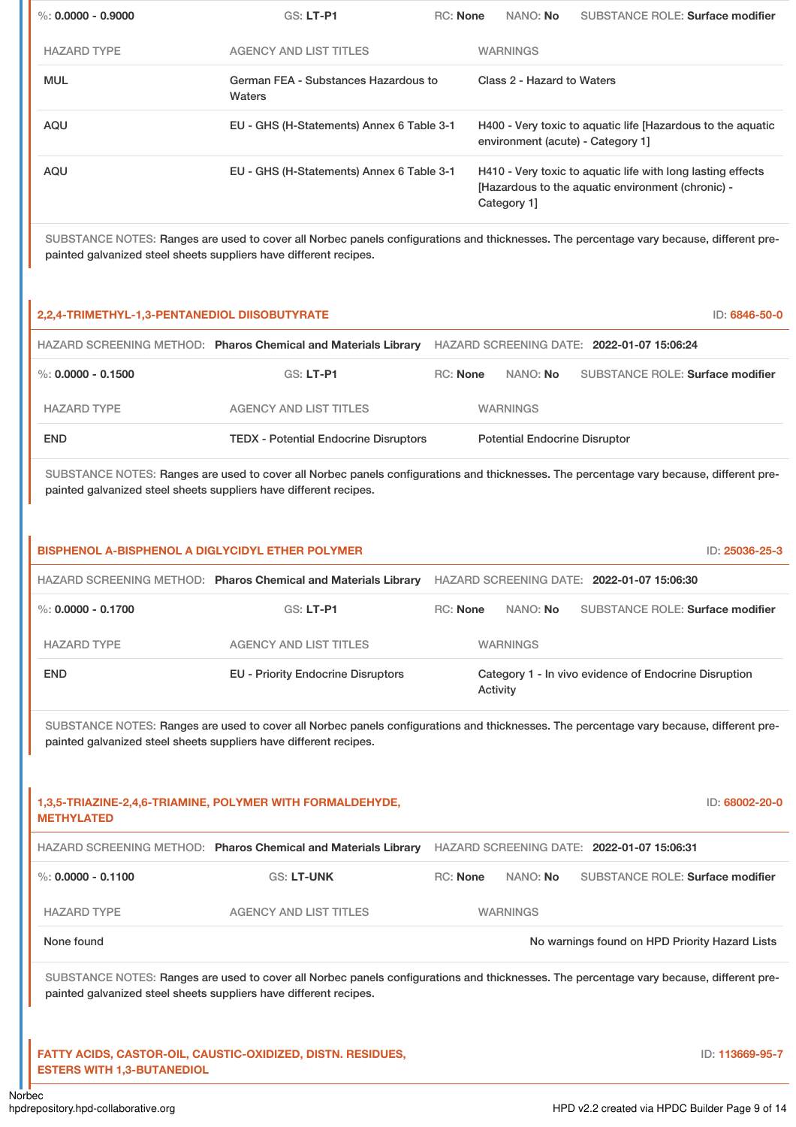| $\%: 0.0000 - 0.9000$                                                                                    | <b>GS: LT-P1</b>                                                                                                                        | <b>RC: None</b> | NANO: No                             | <b>SUBSTANCE ROLE: Surface modifier</b>                                                                          |                                 |
|----------------------------------------------------------------------------------------------------------|-----------------------------------------------------------------------------------------------------------------------------------------|-----------------|--------------------------------------|------------------------------------------------------------------------------------------------------------------|---------------------------------|
| <b>HAZARD TYPE</b>                                                                                       | <b>AGENCY AND LIST TITLES</b>                                                                                                           |                 | <b>WARNINGS</b>                      |                                                                                                                  |                                 |
| <b>MUL</b>                                                                                               | German FEA - Substances Hazardous to<br>Waters                                                                                          |                 | Class 2 - Hazard to Waters           |                                                                                                                  |                                 |
| <b>AQU</b>                                                                                               | EU - GHS (H-Statements) Annex 6 Table 3-1                                                                                               |                 | environment (acute) - Category 1]    | H400 - Very toxic to aquatic life [Hazardous to the aquatic                                                      |                                 |
| <b>AQU</b>                                                                                               | EU - GHS (H-Statements) Annex 6 Table 3-1                                                                                               |                 | Category 1]                          | H410 - Very toxic to aquatic life with long lasting effects<br>[Hazardous to the aquatic environment (chronic) - |                                 |
| painted galvanized steel sheets suppliers have different recipes.                                        | SUBSTANCE NOTES: Ranges are used to cover all Norbec panels configurations and thicknesses. The percentage vary because, different pre- |                 |                                      |                                                                                                                  |                                 |
|                                                                                                          |                                                                                                                                         |                 |                                      |                                                                                                                  |                                 |
|                                                                                                          | HAZARD SCREENING METHOD: Pharos Chemical and Materials Library                                                                          |                 |                                      | HAZARD SCREENING DATE: 2022-01-07 15:06:24                                                                       |                                 |
|                                                                                                          | GS: LT-P1                                                                                                                               | <b>RC: None</b> | NANO: No                             | <b>SUBSTANCE ROLE: Surface modifier</b>                                                                          |                                 |
| <b>HAZARD TYPE</b>                                                                                       | <b>AGENCY AND LIST TITLES</b>                                                                                                           |                 | <b>WARNINGS</b>                      |                                                                                                                  |                                 |
| <b>END</b>                                                                                               | <b>TEDX - Potential Endocrine Disruptors</b>                                                                                            |                 | <b>Potential Endocrine Disruptor</b> |                                                                                                                  |                                 |
| $\%$ : 0.0000 - 0.1500<br>painted galvanized steel sheets suppliers have different recipes.              | SUBSTANCE NOTES: Ranges are used to cover all Norbec panels configurations and thicknesses. The percentage vary because, different pre- |                 |                                      |                                                                                                                  |                                 |
| 2,2,4-TRIMETHYL-1,3-PENTANEDIOL DIISOBUTYRATE<br><b>BISPHENOL A-BISPHENOL A DIGLYCIDYL ETHER POLYMER</b> |                                                                                                                                         |                 |                                      |                                                                                                                  | ID: 6846-50-0<br>ID: 25036-25-3 |

| $\%$ : 0.0000 - 0.1700 | GS: LT-P1                                 | <b>RC:</b> None | NANO: No        | SUBSTANCE ROLE: Surface modifier                      |
|------------------------|-------------------------------------------|-----------------|-----------------|-------------------------------------------------------|
| <b>HAZARD TYPE</b>     | <b>AGENCY AND LIST TITLES</b>             |                 | <b>WARNINGS</b> |                                                       |
| <b>END</b>             | <b>EU - Priority Endocrine Disruptors</b> |                 | Activity        | Category 1 - In vivo evidence of Endocrine Disruption |

| 1,3,5-TRIAZINE-2,4,6-TRIAMINE, POLYMER WITH FORMALDEHYDE,<br><b>METHYLATED</b> |                                                                |                 |                 |                                                |
|--------------------------------------------------------------------------------|----------------------------------------------------------------|-----------------|-----------------|------------------------------------------------|
|                                                                                | HAZARD SCREENING METHOD: Pharos Chemical and Materials Library |                 |                 | HAZARD SCREENING DATE: 2022-01-07 15:06:31     |
| %: $0.0000 - 0.1100$                                                           | <b>GS: LT-UNK</b>                                              | <b>RC:</b> None | NANO: <b>No</b> | SUBSTANCE ROLE: Surface modifier               |
| <b>HAZARD TYPE</b>                                                             | AGENCY AND LIST TITLES                                         |                 | <b>WARNINGS</b> |                                                |
| None found                                                                     |                                                                |                 |                 | No warnings found on HPD Priority Hazard Lists |

SUBSTANCE NOTES: Ranges are used to cover all Norbec panels configurations and thicknesses. The percentage vary because, different prepainted galvanized steel sheets suppliers have different recipes.

## **FATTY ACIDS, CASTOR-OIL, CAUSTIC-OXIDIZED, DISTN. RESIDUES, ESTERS WITH 1,3-BUTANEDIOL**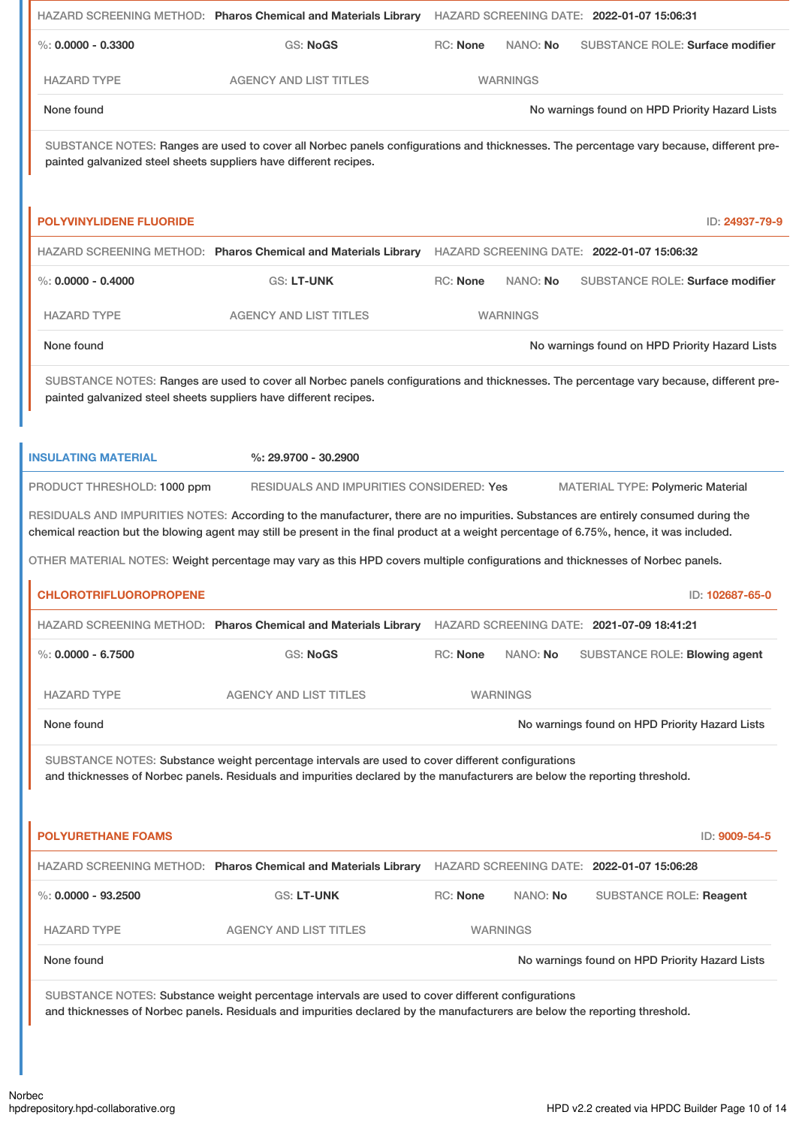|                                | HAZARD SCREENING METHOD: Pharos Chemical and Materials Library                                                                                                                                                                   |                 |                 | HAZARD SCREENING DATE: 2022-01-07 15:06:31     |
|--------------------------------|----------------------------------------------------------------------------------------------------------------------------------------------------------------------------------------------------------------------------------|-----------------|-----------------|------------------------------------------------|
| %: $0.0000 - 0.3300$           | <b>GS: NoGS</b>                                                                                                                                                                                                                  | <b>RC: None</b> | NANO: No        | <b>SUBSTANCE ROLE: Surface modifier</b>        |
| <b>HAZARD TYPE</b>             | <b>AGENCY AND LIST TITLES</b>                                                                                                                                                                                                    |                 | <b>WARNINGS</b> |                                                |
| None found                     |                                                                                                                                                                                                                                  |                 |                 | No warnings found on HPD Priority Hazard Lists |
|                                | SUBSTANCE NOTES: Ranges are used to cover all Norbec panels configurations and thicknesses. The percentage vary because, different pre-<br>painted galvanized steel sheets suppliers have different recipes.                     |                 |                 |                                                |
| <b>POLYVINYLIDENE FLUORIDE</b> |                                                                                                                                                                                                                                  |                 |                 | ID: 24937-79-9                                 |
|                                | HAZARD SCREENING METHOD: Pharos Chemical and Materials Library                                                                                                                                                                   |                 |                 | HAZARD SCREENING DATE: 2022-01-07 15:06:32     |
| $\%$ : 0.0000 - 0.4000         | GS: LT-UNK                                                                                                                                                                                                                       | <b>RC: None</b> | NANO: No        | <b>SUBSTANCE ROLE: Surface modifier</b>        |
| <b>HAZARD TYPE</b>             | <b>AGENCY AND LIST TITLES</b>                                                                                                                                                                                                    |                 | <b>WARNINGS</b> |                                                |
| None found                     |                                                                                                                                                                                                                                  |                 |                 | No warnings found on HPD Priority Hazard Lists |
|                                | SUBSTANCE NOTES: Ranges are used to cover all Norbec panels configurations and thicknesses. The percentage vary because, different pre-<br>painted galvanized steel sheets suppliers have different recipes.                     |                 |                 |                                                |
| <b>INSULATING MATERIAL</b>     | %: 29.9700 - 30.2900                                                                                                                                                                                                             |                 |                 |                                                |
| PRODUCT THRESHOLD: 1000 ppm    | RESIDUALS AND IMPURITIES CONSIDERED: Yes                                                                                                                                                                                         |                 |                 | <b>MATERIAL TYPE: Polymeric Material</b>       |
|                                | RESIDUALS AND IMPURITIES NOTES: According to the manufacturer, there are no impurities. Substances are entirely consumed during the                                                                                              |                 |                 |                                                |
|                                | chemical reaction but the blowing agent may still be present in the final product at a weight percentage of 6.75%, hence, it was included.                                                                                       |                 |                 |                                                |
|                                | OTHER MATERIAL NOTES: Weight percentage may vary as this HPD covers multiple configurations and thicknesses of Norbec panels.                                                                                                    |                 |                 |                                                |
| <b>CHLOROTRIFLUOROPROPENE</b>  |                                                                                                                                                                                                                                  |                 |                 | ID: 102687-65-0                                |
|                                | HAZARD SCREENING METHOD: Pharos Chemical and Materials Library                                                                                                                                                                   |                 |                 | HAZARD SCREENING DATE: 2021-07-09 18:41:21     |
| $\%: 0.0000 - 6.7500$          | <b>GS: NoGS</b>                                                                                                                                                                                                                  | RC: None        | NANO: No        | SUBSTANCE ROLE: Blowing agent                  |
| <b>HAZARD TYPE</b>             | <b>AGENCY AND LIST TITLES</b>                                                                                                                                                                                                    |                 | <b>WARNINGS</b> |                                                |
| None found                     |                                                                                                                                                                                                                                  |                 |                 | No warnings found on HPD Priority Hazard Lists |
|                                | SUBSTANCE NOTES: Substance weight percentage intervals are used to cover different configurations<br>and thicknesses of Norbec panels. Residuals and impurities declared by the manufacturers are below the reporting threshold. |                 |                 |                                                |
| <b>POLYURETHANE FOAMS</b>      |                                                                                                                                                                                                                                  |                 |                 | ID: 9009-54-5                                  |
|                                | HAZARD SCREENING METHOD: Pharos Chemical and Materials Library                                                                                                                                                                   |                 |                 | HAZARD SCREENING DATE: 2022-01-07 15:06:28     |
| %: $0.0000 - 93.2500$          | GS: LT-UNK                                                                                                                                                                                                                       | <b>RC: None</b> | NANO: No        | SUBSTANCE ROLE: Reagent                        |
| <b>HAZARD TYPE</b>             | <b>AGENCY AND LIST TITLES</b>                                                                                                                                                                                                    |                 | <b>WARNINGS</b> |                                                |
| None found                     |                                                                                                                                                                                                                                  |                 |                 | No warnings found on HPD Priority Hazard Lists |
|                                | SUBSTANCE NOTES: Substance weight percentage intervals are used to cover different configurations<br>and thicknesses of Norbec panels. Residuals and impurities declared by the manufacturers are below the reporting threshold. |                 |                 |                                                |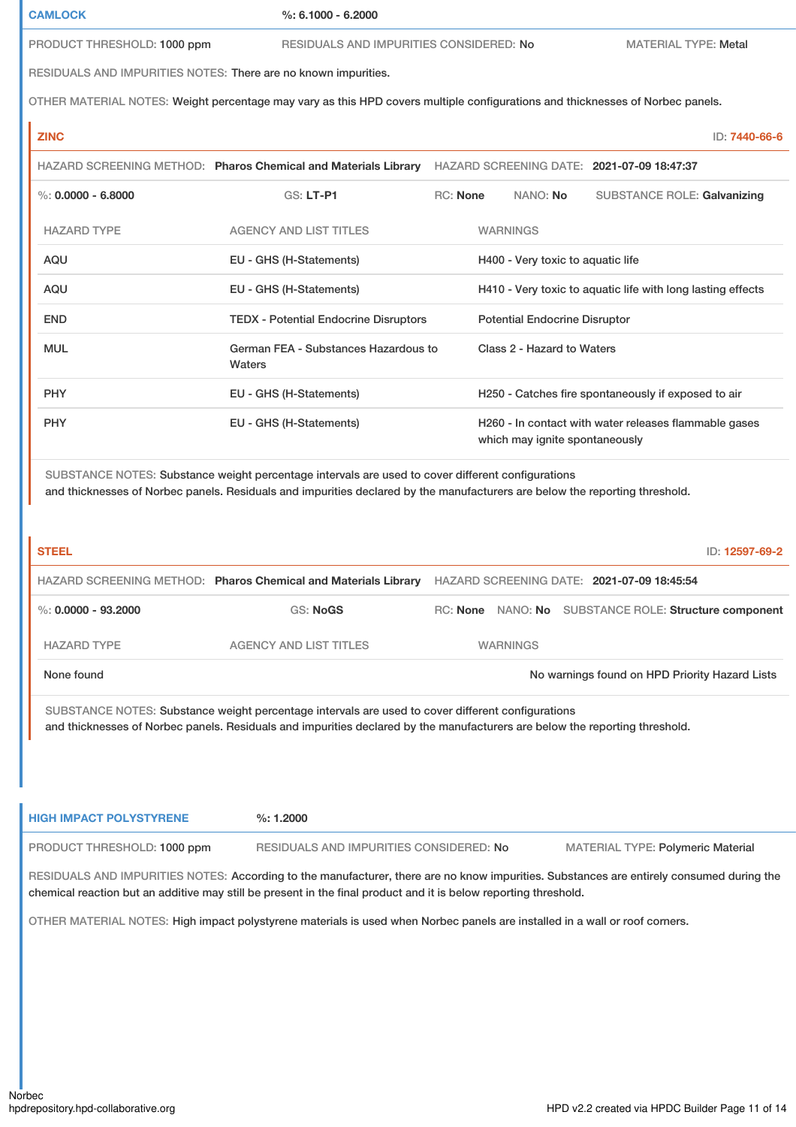**CAMLOCK %: 6.1000 - 6.2000**

PRODUCT THRESHOLD: 1000 ppm RESIDUALS AND IMPURITIES CONSIDERED: No MATERIAL TYPE: Metal

RESIDUALS AND IMPURITIES NOTES: There are no known impurities.

OTHER MATERIAL NOTES: Weight percentage may vary as this HPD covers multiple configurations and thicknesses of Norbec panels.

# **ZINC** ID: **7440-66-6** HAZARD SCREENING METHOD: **Pharos Chemical and Materials Library** HAZARD SCREENING DATE: **2021-07-09 18:47:37** %: **0.0000 - 6.8000** GS: LT-P1 RC: None NANO: No SUBSTANCE ROLE: Galvanizing HAZARD TYPE AGENCY AND LIST TITLES WARNINGS AQU EU - GHS (H-Statements) H400 - Very toxic to aquatic life AQU EU - GHS (H-Statements) H410 - Very toxic to aquatic life with long lasting effects END TEDX - Potential Endocrine Disruptors Potential Endocrine Disruptor MUL German FEA - Substances Hazardous to Waters Class 2 - Hazard to Waters PHY EU - GHS (H-Statements) H250 - Catches fire spontaneously if exposed to air PHY **EU - GHS (H-Statements)** H260 - In contact with water releases flammable gases which may ignite spontaneously

SUBSTANCE NOTES: Substance weight percentage intervals are used to cover different configurations and thicknesses of Norbec panels. Residuals and impurities declared by the manufacturers are below the reporting threshold.

| <b>STEEL</b>          |                                                                |                 | ID: 12597-69-2                                        |
|-----------------------|----------------------------------------------------------------|-----------------|-------------------------------------------------------|
|                       | HAZARD SCREENING METHOD: Pharos Chemical and Materials Library |                 | HAZARD SCREENING DATE: 2021-07-09 18:45:54            |
| %: $0.0000 - 93.2000$ | GS: NoGS                                                       |                 | RC: None NANO: No SUBSTANCE ROLE: Structure component |
| <b>HAZARD TYPE</b>    | <b>AGENCY AND LIST TITLES</b>                                  | <b>WARNINGS</b> |                                                       |
| None found            |                                                                |                 | No warnings found on HPD Priority Hazard Lists        |

SUBSTANCE NOTES: Substance weight percentage intervals are used to cover different configurations and thicknesses of Norbec panels. Residuals and impurities declared by the manufacturers are below the reporting threshold.

| <b>HIGH IMPACT POLYSTYRENE</b> | $\%: 1.2000$                            |                                          |
|--------------------------------|-----------------------------------------|------------------------------------------|
| PRODUCT THRESHOLD: 1000 ppm    | RESIDUALS AND IMPURITIES CONSIDERED: No | <b>MATERIAL TYPE: Polymeric Material</b> |

RESIDUALS AND IMPURITIES NOTES: According to the manufacturer, there are no know impurities. Substances are entirely consumed during the chemical reaction but an additive may still be present in the final product and it is below reporting threshold.

OTHER MATERIAL NOTES: High impact polystyrene materials is used when Norbec panels are installed in a wall or roof corners.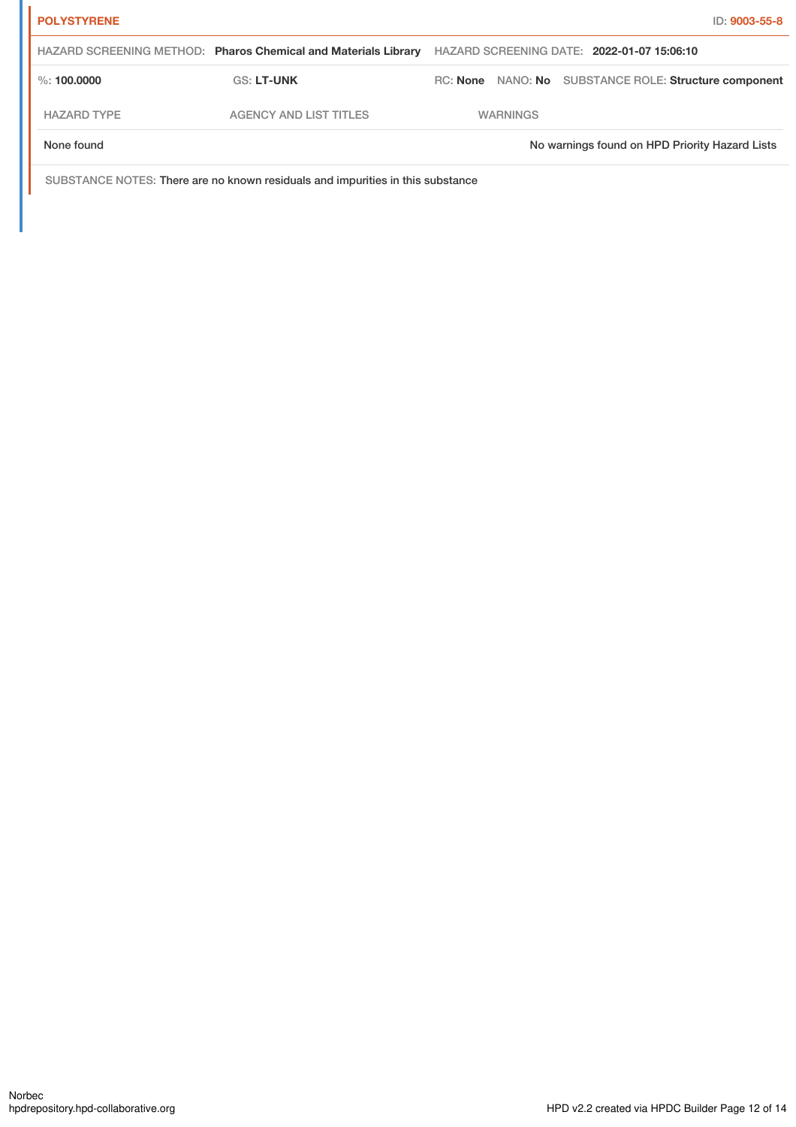| <b>POLYSTYRENE</b> |                                                                |          |                 | ID: 9003-55-8                                  |
|--------------------|----------------------------------------------------------------|----------|-----------------|------------------------------------------------|
|                    | HAZARD SCREENING METHOD: Pharos Chemical and Materials Library |          |                 | HAZARD SCREENING DATE: 2022-01-07 15:06:10     |
| $\%$ : 100.0000    | <b>GS: LT-UNK</b>                                              | RC: None |                 | NANO: No SUBSTANCE ROLE: Structure component   |
| <b>HAZARD TYPE</b> | <b>AGENCY AND LIST TITLES</b>                                  |          | <b>WARNINGS</b> |                                                |
| None found         |                                                                |          |                 | No warnings found on HPD Priority Hazard Lists |

SUBSTANCE NOTES: There are no known residuals and impurities in this substance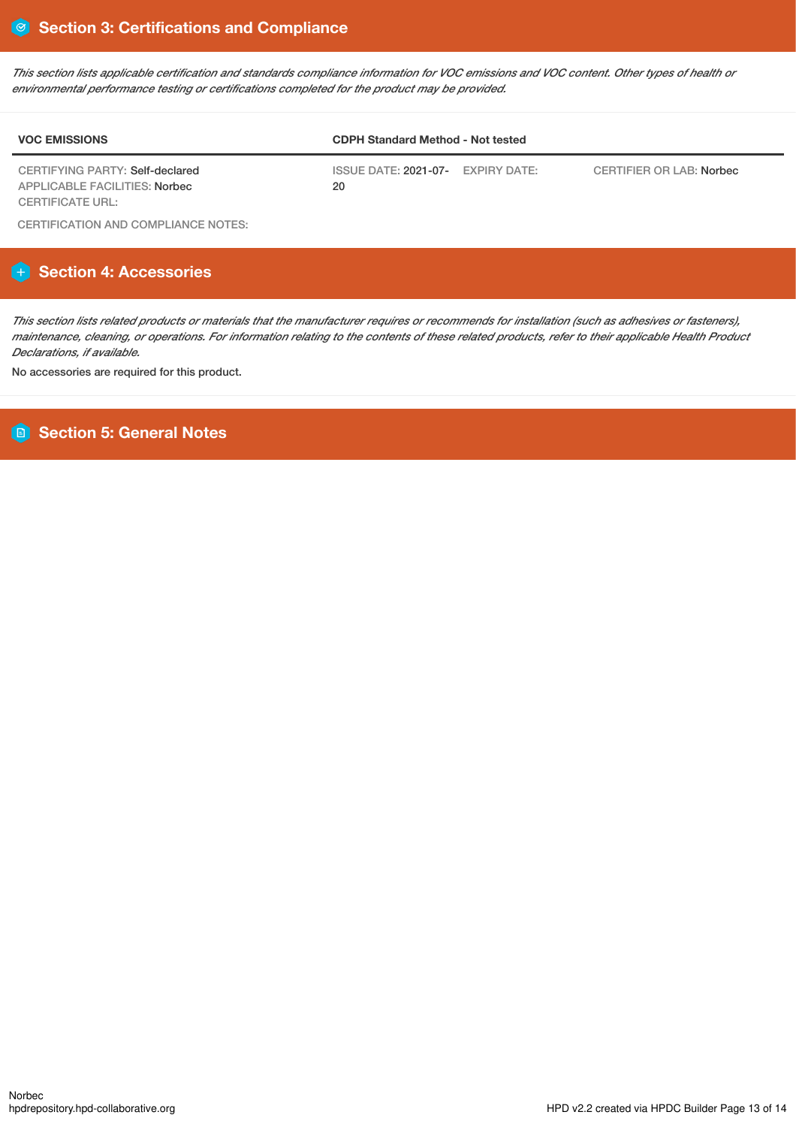This section lists applicable certification and standards compliance information for VOC emissions and VOC content. Other types of health or *environmental performance testing or certifications completed for the product may be provided.*

| <b>VOC EMISSIONS</b>                                             | <b>CDPH Standard Method - Not tested</b> |                          |  |  |
|------------------------------------------------------------------|------------------------------------------|--------------------------|--|--|
| CERTIFYING PARTY: Self-declared<br>APPLICABLE FACILITIES: Norbec | ISSUE DATE: 2021-07- EXPIRY DATE:<br>20  | CERTIFIER OR LAB: Norbec |  |  |
| CERTIFICATE URL:                                                 |                                          |                          |  |  |

CERTIFICATION AND COMPLIANCE NOTES:

## **Section 4: Accessories**

This section lists related products or materials that the manufacturer requires or recommends for installation (such as adhesives or fasteners), maintenance, cleaning, or operations. For information relating to the contents of these related products, refer to their applicable Health Product *Declarations, if available.*

No accessories are required for this product.

## **Section 5: General Notes**